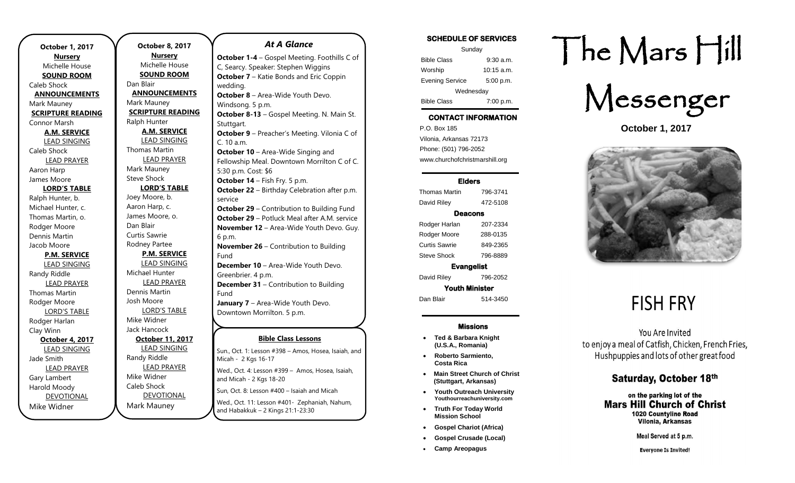| <b>October 1, 2017</b>   |  |
|--------------------------|--|
| <b>Nursery</b>           |  |
| Michelle House           |  |
| <b>SOUND ROOM</b>        |  |
| Caleb Shock              |  |
| <b>ANNOUNCEMENTS</b>     |  |
| Mark Mauney              |  |
| <b>SCRIPTURE READING</b> |  |
| Connor Marsh             |  |
| <b>A.M. SERVICE</b>      |  |
| <b>LEAD SINGING</b>      |  |
| Caleb Shock              |  |
| <b>LEAD PRAYER</b>       |  |
| Aaron Harp               |  |
| James Moore              |  |
| <b>LORD'S TABLE</b>      |  |
| Ralph Hunter, b.         |  |
| Michael Hunter, c.       |  |
| Thomas Martin, o.        |  |
| Rodger Moore             |  |
| Dennis Martin            |  |
| Jacob Moore              |  |
| <b>P.M. SERVICE</b>      |  |
| <b>LEAD SINGING</b>      |  |
| Randy Riddle             |  |
| <b>LEAD PRAYER</b>       |  |
| Thomas Martin            |  |
| Rodger Moore             |  |
| <b>LORD'S TABLE</b>      |  |
| Rodger Harlan            |  |
| Clay Winn                |  |
| October 4, 2017          |  |
| <b>LEAD SINGING</b>      |  |
| Jade Smith               |  |
| <b>LEAD PRAYER</b>       |  |
| Gary Lambert             |  |
| Harold Moody             |  |
| <b>DEVOTIONAL</b>        |  |
| Mike Widner              |  |

.

**October 8, 2017 Nursery** Michelle House **SOUND ROOM** Dan Blair **ANNOUNCEMENTS** Mark Mauney **SCRIPTURE READING** Ralph Hunter **A.M. SERVICE** LEAD SINGING Thomas Martin LEAD PRAYER Mark Mauney Steve Shock **LORD'S TABLE** Joey Moore, b. Aaron Harp, c. James Moore, o. Dan Blair Curtis Sawrie Rodney Partee **P.M. SERVICE** LEAD SINGING Michael Hunter LEAD PRAYER Dennis Martin Josh Moore LORD'S TABLE Mike Widner Jack Hancock **October 11, 2017** LEAD SINGING Randy Riddle LEAD PRAYER Mike Widner Caleb Shock DEVOTIONAL Mark Mauney Sun, Oct. 8: Lesson #400 - Isaiah and Micah Wed., Oct. 11: Lesson #401- Zephaniah, Nahum, **July 8-13, 2018 –** Gospel Gathering

#### **Bible Class Lessons** Sun., Oct. 1: Lesson #398 - Amos, Hosea, Isaiah, and Micah - 2 Kgs 16-17 Wed., Oct. 4: Lesson #399 - Amos, Hosea, Isaiah, and Micah - 2 Kgs 18-20 *At A Glance*  **October 1-4** – Gospel Meeting. Foothills C of C, Searcy. Speaker: Stephen Wiggins **October 7** – Katie Bonds and Eric Coppin wedding. **October 8** – Area-Wide Youth Devo. Windsong. 5 p.m. **October 8-13** – Gospel Meeting. N. Main St. Stuttgart. **October 9** – Preacher's Meeting. Vilonia C of C. 10 a.m. **October 10** – Area-Wide Singing and Fellowship Meal. Downtown Morrilton C of C. 5:30 p.m. Cost: \$6 **October 14** – Fish Fry. 5 p.m. **October 22** – Birthday Celebration after p.m. service **October 29** – Contribution to Building Fund **October 29** – Potluck Meal after A.M. service **November 12** – Area-Wide Youth Devo. Guy. 6 p.m. **November 26** – Contribution to Building Fund **December 10** – Area-Wide Youth Devo. Greenbrier. 4 p.m. **December 31** – Contribution to Building Fund **January 7** – Area-Wide Youth Devo. Downtown Morrilton. 5 p.m. **February 11** – Area-Wide Youth Devo. Liberty. Since the second second second second second second second second second second second second second s

and Habakkuk – 2 Kings 21:1-23:30

SCHEDULE OF SERVICES

| Sunday                 |              |  |
|------------------------|--------------|--|
| <b>Bible Class</b>     | $9:30$ a.m.  |  |
| Worship                | $10:15$ a.m. |  |
| <b>Evening Service</b> | 5:00 p.m.    |  |
| Wednesday              |              |  |
| <b>Bible Class</b>     | 7:00 p.m.    |  |

# CONTACT INFORMATION

. .o. Box 166<br>Vilonia, Arkansas 72173 P.O. Box 185 Phone: (501) 796-2052 www.churchofchristmarshill.org

#### Elders

Thomas Martin 796-3741 David Riley 472-5108 Deacons Rodger Harlan 207-2334 Rodger Moore 288-0135 Curtis Sawrie 849-2365 Steve Shock 796-8889 Evangelist

David Riley 796-2052 Youth Minister

Dan Blair 514-3450

#### Missions

- **Ted & Barbara Knight (U.S.A., Romania)**
- **Roberto Sarmiento, Costa Rica**
- **Main Street Church of Christ (Stuttgart, Arkansas)**
- **Youth Outreach University Youthourreachuniversity.com**
- **Truth For Today World Mission School**
- **Gospel Chariot (Africa)**
- **Gospel Crusade (Local)**
- **Camp Areopagus**

# The Mars Hill



**October 1, 2017**



# **FISH FRY**

You Are Invited to enjoy a meal of Catfish, Chicken, French Fries, Hushpuppies and lots of other great food

#### Saturday, October 18th

on the parking lot of the **Mars Hill Church of Christ** 1020 Countvline Road Vilonia, Arkansas

Meal Served at 5 p.m.

**Everyone Is Invited!**